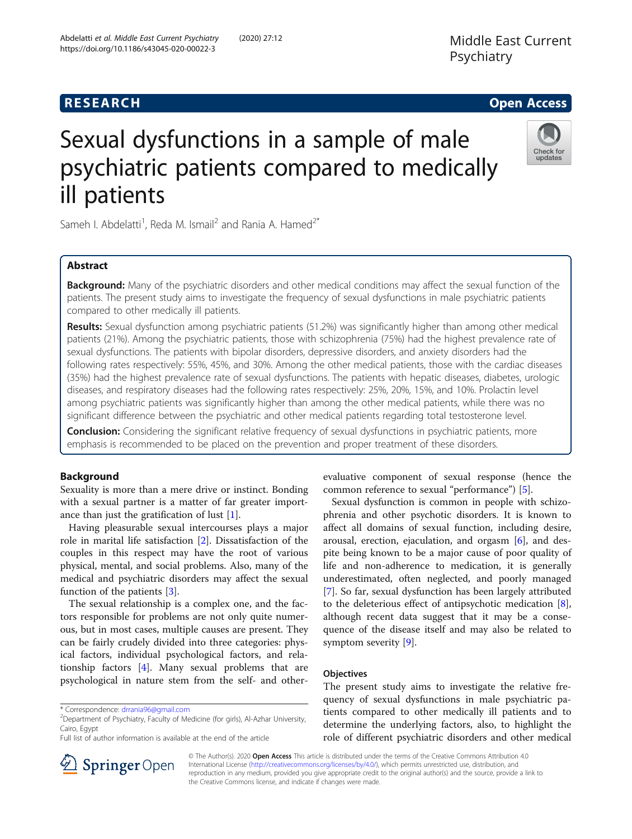# **RESEARCH CHE Open Access**

# Sexual dysfunctions in a sample of male psychiatric patients compared to medically ill patients



Sameh I. Abdelatti<sup>1</sup>, Reda M. Ismail<sup>2</sup> and Rania A. Hamed<sup>2\*</sup>

## Abstract

**Background:** Many of the psychiatric disorders and other medical conditions may affect the sexual function of the patients. The present study aims to investigate the frequency of sexual dysfunctions in male psychiatric patients compared to other medically ill patients.

Results: Sexual dysfunction among psychiatric patients (51.2%) was significantly higher than among other medical patients (21%). Among the psychiatric patients, those with schizophrenia (75%) had the highest prevalence rate of sexual dysfunctions. The patients with bipolar disorders, depressive disorders, and anxiety disorders had the following rates respectively: 55%, 45%, and 30%. Among the other medical patients, those with the cardiac diseases (35%) had the highest prevalence rate of sexual dysfunctions. The patients with hepatic diseases, diabetes, urologic diseases, and respiratory diseases had the following rates respectively: 25%, 20%, 15%, and 10%. Prolactin level among psychiatric patients was significantly higher than among the other medical patients, while there was no significant difference between the psychiatric and other medical patients regarding total testosterone level.

**Conclusion:** Considering the significant relative frequency of sexual dysfunctions in psychiatric patients, more emphasis is recommended to be placed on the prevention and proper treatment of these disorders.

## Background

Sexuality is more than a mere drive or instinct. Bonding with a sexual partner is a matter of far greater importance than just the gratification of lust [[1\]](#page-8-0).

Having pleasurable sexual intercourses plays a major role in marital life satisfaction [\[2](#page-8-0)]. Dissatisfaction of the couples in this respect may have the root of various physical, mental, and social problems. Also, many of the medical and psychiatric disorders may affect the sexual function of the patients [[3\]](#page-8-0).

The sexual relationship is a complex one, and the factors responsible for problems are not only quite numerous, but in most cases, multiple causes are present. They can be fairly crudely divided into three categories: physical factors, individual psychological factors, and relationship factors [\[4](#page-8-0)]. Many sexual problems that are psychological in nature stem from the self- and other-

Full list of author information is available at the end of the article

evaluative component of sexual response (hence the common reference to sexual "performance") [\[5](#page-8-0)].

Sexual dysfunction is common in people with schizophrenia and other psychotic disorders. It is known to affect all domains of sexual function, including desire, arousal, erection, ejaculation, and orgasm [[6](#page-8-0)], and despite being known to be a major cause of poor quality of life and non-adherence to medication, it is generally underestimated, often neglected, and poorly managed [[7\]](#page-8-0). So far, sexual dysfunction has been largely attributed to the deleterious effect of antipsychotic medication [\[8](#page-8-0)], although recent data suggest that it may be a consequence of the disease itself and may also be related to symptom severity [[9\]](#page-8-0).

#### **Objectives**

The present study aims to investigate the relative frequency of sexual dysfunctions in male psychiatric patients compared to other medically ill patients and to determine the underlying factors, also, to highlight the role of different psychiatric disorders and other medical



© The Author(s). 2020 Open Access This article is distributed under the terms of the Creative Commons Attribution 4.0 International License ([http://creativecommons.org/licenses/by/4.0/\)](http://creativecommons.org/licenses/by/4.0/), which permits unrestricted use, distribution, and reproduction in any medium, provided you give appropriate credit to the original author(s) and the source, provide a link to the Creative Commons license, and indicate if changes were made.

<sup>\*</sup> Correspondence: [drrania96@gmail.com](mailto:drrania96@gmail.com) <sup>2</sup>

 $2$ Department of Psychiatry, Faculty of Medicine (for girls), Al-Azhar University, Cairo, Egypt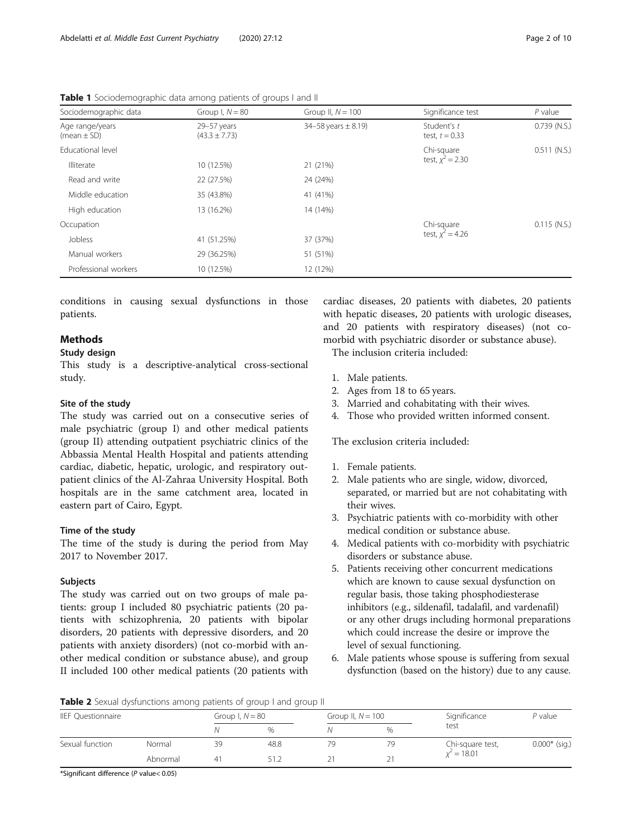| Sociodemographic data              | Group I, $N = 80$                | Group II, $N = 100$          | Significance test               | $P$ value      |
|------------------------------------|----------------------------------|------------------------------|---------------------------------|----------------|
| Age range/years<br>(mean $\pm$ SD) | 29-57 years<br>$(43.3 \pm 7.73)$ | $34 - 58$ years $\pm 8.19$ ) | Student's t<br>test, $t = 0.33$ | $0.739$ (N.S.) |
| <b>Educational level</b>           |                                  |                              | Chi-square                      | $0.511$ (N.S.) |
| <b>Illiterate</b>                  | 10 (12.5%)                       | 21 (21%)                     | test, $x^2 = 2.30$              |                |
| Read and write                     | 22 (27.5%)                       | 24 (24%)                     |                                 |                |
| Middle education                   | 35 (43.8%)                       | 41 (41%)                     |                                 |                |
| High education                     | 13 (16.2%)                       | 14 (14%)                     |                                 |                |
| Occupation                         |                                  |                              | Chi-square                      | $0.115$ (N.S.) |
| Jobless                            | 41 (51.25%)                      | 37 (37%)                     | test, $x^2 = 4.26$              |                |
| Manual workers                     | 29 (36.25%)                      | 51 (51%)                     |                                 |                |
| Professional workers               | 10 (12.5%)                       | 12 (12%)                     |                                 |                |

<span id="page-1-0"></span>Table 1 Sociodemographic data among patients of groups I and II

conditions in causing sexual dysfunctions in those patients.

## **Methods**

## Study design

This study is a descriptive-analytical cross-sectional study.

#### Site of the study

The study was carried out on a consecutive series of male psychiatric (group I) and other medical patients (group II) attending outpatient psychiatric clinics of the Abbassia Mental Health Hospital and patients attending cardiac, diabetic, hepatic, urologic, and respiratory outpatient clinics of the Al-Zahraa University Hospital. Both hospitals are in the same catchment area, located in eastern part of Cairo, Egypt.

#### Time of the study

The time of the study is during the period from May 2017 to November 2017.

#### Subjects

The study was carried out on two groups of male patients: group I included 80 psychiatric patients (20 patients with schizophrenia, 20 patients with bipolar disorders, 20 patients with depressive disorders, and 20 patients with anxiety disorders) (not co-morbid with another medical condition or substance abuse), and group II included 100 other medical patients (20 patients with

cardiac diseases, 20 patients with diabetes, 20 patients with hepatic diseases, 20 patients with urologic diseases, and 20 patients with respiratory diseases) (not comorbid with psychiatric disorder or substance abuse).

The inclusion criteria included:

- 1. Male patients.
- 2. Ages from 18 to 65 years.
- 3. Married and cohabitating with their wives.
- 4. Those who provided written informed consent.

The exclusion criteria included:

- 1. Female patients.
- 2. Male patients who are single, widow, divorced, separated, or married but are not cohabitating with their wives.
- 3. Psychiatric patients with co-morbidity with other medical condition or substance abuse.
- 4. Medical patients with co-morbidity with psychiatric disorders or substance abuse.
- 5. Patients receiving other concurrent medications which are known to cause sexual dysfunction on regular basis, those taking phosphodiesterase inhibitors (e.g., sildenafil, tadalafil, and vardenafil) or any other drugs including hormonal preparations which could increase the desire or improve the level of sexual functioning.
- 6. Male patients whose spouse is suffering from sexual dysfunction (based on the history) due to any cause.

**Table 2** Sexual dysfunctions among patients of group I and group II

| <b>IIEF Questionnaire</b> |          | Group I, $N = 80$ |      | Group II, $N = 100$ |    | Significance     | $P$ value       |  |
|---------------------------|----------|-------------------|------|---------------------|----|------------------|-----------------|--|
|                           |          |                   | $\%$ |                     | %  | test             |                 |  |
| Sexual function           | Normal   | 39                | 48.8 |                     | 79 | Chi-square test, | $0.000*$ (sig.) |  |
|                           | Abnormal |                   |      |                     | 21 | $x^2 = 18.01$    |                 |  |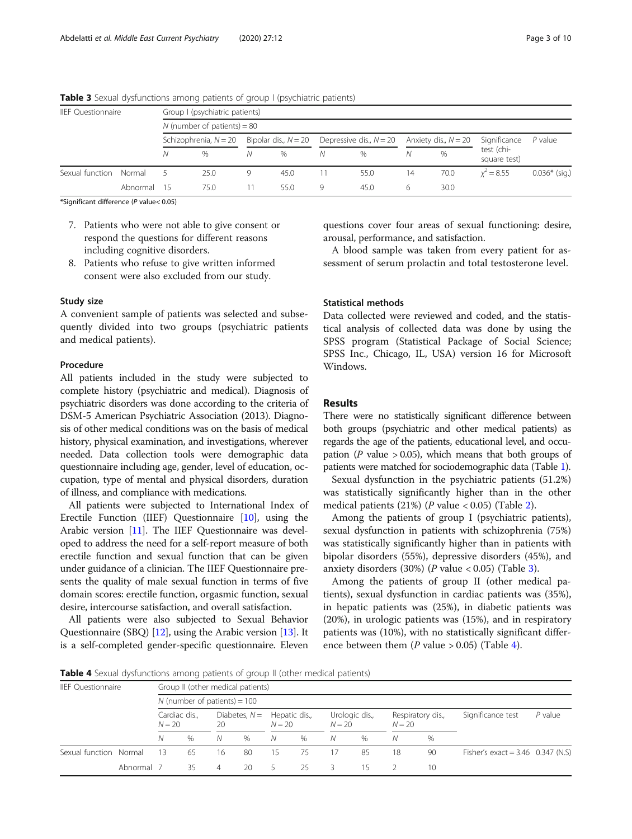| <b>IIEF Questionnaire</b> |          |     | Group I (psychiatric patients) |                                                  |               |   |      |    |                        |                            |                 |
|---------------------------|----------|-----|--------------------------------|--------------------------------------------------|---------------|---|------|----|------------------------|----------------------------|-----------------|
|                           |          |     | N (number of patients) = $80$  |                                                  |               |   |      |    |                        |                            |                 |
|                           |          |     | Schizophrenia, $N = 20$        | Bipolar dis., $N = 20$ Depressive dis., $N = 20$ |               |   |      |    | Anxiety dis., $N = 20$ | Significance               | $P$ value       |
|                           |          |     | $\%$                           | Ν                                                | $\frac{0}{0}$ | Ν | $\%$ | N  | $\%$                   | test (chi-<br>square test) |                 |
| Sexual function Normal    |          |     | 25.0                           | 9                                                | 45.0          |   | 55.0 | 14 | 70.0                   | $x^2 = 8.55$               | $0.036*$ (sig.) |
|                           | Abnormal | -15 | 75.0                           |                                                  | 55.0          | 9 | 45.0 | 6  | 30.0                   |                            |                 |

**Table 3** Sexual dysfunctions among patients of group I (psychiatric patients)

- 7. Patients who were not able to give consent or respond the questions for different reasons including cognitive disorders.
- 8. Patients who refuse to give written informed consent were also excluded from our study.

#### Study size

A convenient sample of patients was selected and subsequently divided into two groups (psychiatric patients and medical patients).

## Procedure

All patients included in the study were subjected to complete history (psychiatric and medical). Diagnosis of psychiatric disorders was done according to the criteria of DSM-5 American Psychiatric Association (2013). Diagnosis of other medical conditions was on the basis of medical history, physical examination, and investigations, wherever needed. Data collection tools were demographic data questionnaire including age, gender, level of education, occupation, type of mental and physical disorders, duration of illness, and compliance with medications.

All patients were subjected to International Index of Erectile Function (IIEF) Questionnaire [[10](#page-8-0)], using the Arabic version [\[11\]](#page-8-0). The IIEF Questionnaire was developed to address the need for a self-report measure of both erectile function and sexual function that can be given under guidance of a clinician. The IIEF Questionnaire presents the quality of male sexual function in terms of five domain scores: erectile function, orgasmic function, sexual desire, intercourse satisfaction, and overall satisfaction.

All patients were also subjected to Sexual Behavior Questionnaire (SBQ) [\[12\]](#page-8-0), using the Arabic version [[13](#page-8-0)]. It is a self-completed gender-specific questionnaire. Eleven questions cover four areas of sexual functioning: desire, arousal, performance, and satisfaction.

A blood sample was taken from every patient for assessment of serum prolactin and total testosterone level.

## Statistical methods

Data collected were reviewed and coded, and the statistical analysis of collected data was done by using the SPSS program (Statistical Package of Social Science; SPSS Inc., Chicago, IL, USA) version 16 for Microsoft Windows.

### Results

There were no statistically significant difference between both groups (psychiatric and other medical patients) as regards the age of the patients, educational level, and occupation (P value  $> 0.05$ ), which means that both groups of patients were matched for sociodemographic data (Table [1](#page-1-0)).

Sexual dysfunction in the psychiatric patients (51.2%) was statistically significantly higher than in the other medical patients  $(21%)$  $(21%)$  $(21%)$  (*P* value < 0.05) (Table 2).

Among the patients of group I (psychiatric patients), sexual dysfunction in patients with schizophrenia (75%) was statistically significantly higher than in patients with bipolar disorders (55%), depressive disorders (45%), and anxiety disorders (30%) ( $P$  value < 0.05) (Table 3).

Among the patients of group II (other medical patients), sexual dysfunction in cardiac patients was (35%), in hepatic patients was (25%), in diabetic patients was (20%), in urologic patients was (15%), and in respiratory patients was (10%), with no statistically significant difference between them (*P* value  $> 0.05$ ) (Table 4).

Table 4 Sexual dysfunctions among patients of group II (other medical patients)

| <b>IIEF Ouestionnaire</b> |                           |                                |                       |    | Group II (other medical patients) |               |          |                |          |                   |                   |                                     |  |  |
|---------------------------|---------------------------|--------------------------------|-----------------------|----|-----------------------------------|---------------|----------|----------------|----------|-------------------|-------------------|-------------------------------------|--|--|
|                           |                           | N (number of patients) = $100$ |                       |    |                                   |               |          |                |          |                   |                   |                                     |  |  |
|                           | Cardiac dis.,<br>$N = 20$ |                                | Diabetes, $N =$<br>20 |    | $N = 20$                          | Hepatic dis., | $N = 20$ | Urologic dis., | $N = 20$ | Respiratory dis., | Significance test | $P$ value                           |  |  |
|                           |                           | Ν                              | $\%$                  | N  | $\%$                              | N             | $\%$     | N              | $\%$     | N                 | $\%$              |                                     |  |  |
| Sexual function Normal    |                           | 13                             | 65                    | 16 | 80                                | 15            | 75       | 17             | 85       | 18                | 90                | Fisher's exact = $3.46$ 0.347 (N.S) |  |  |
|                           | Abnormal 7                |                                | 35                    | 4  | 20                                |               | 25       | 3              | 15       |                   | $10 \,$           |                                     |  |  |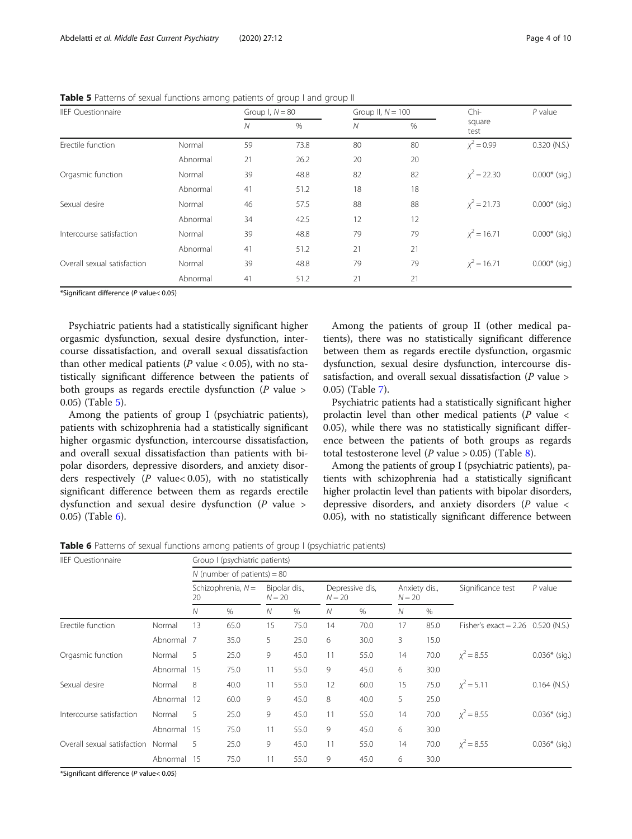| <b>IIEF Questionnaire</b>   |          | Group I, $N = 80$ |      | Group II, $N = 100$ |      | Chi-           | $P$ value       |  |
|-----------------------------|----------|-------------------|------|---------------------|------|----------------|-----------------|--|
|                             |          | N                 | $\%$ | $\mathcal N$        | $\%$ | square<br>test |                 |  |
| Erectile function           | Normal   | 59                | 73.8 | 80                  | 80   | $x^2 = 0.99$   | $0.320$ (N.S.)  |  |
|                             | Abnormal | 21                | 26.2 | 20                  | 20   |                |                 |  |
| Orgasmic function           | Normal   | 39                | 48.8 | 82                  | 82   | $x^2 = 22.30$  | $0.000*$ (sig.) |  |
|                             | Abnormal | 41                | 51.2 | 18                  | 18   |                |                 |  |
| Sexual desire               | Normal   | 46                | 57.5 | 88                  | 88   | $x^2 = 21.73$  | $0.000*$ (sig.) |  |
|                             | Abnormal | 34                | 42.5 | 12                  | 12   |                |                 |  |
| Intercourse satisfaction    | Normal   | 39                | 48.8 | 79                  | 79   | $x^2 = 16.71$  | $0.000*$ (sig.) |  |
|                             | Abnormal | 41                | 51.2 | 21                  | 21   |                |                 |  |
| Overall sexual satisfaction | Normal   | 39                | 48.8 | 79                  | 79   | $x^2 = 16.71$  | $0.000*$ (sig.) |  |
|                             | Abnormal | 41                | 51.2 | 21                  | 21   |                |                 |  |

Table 5 Patterns of sexual functions among patients of group I and group II

Psychiatric patients had a statistically significant higher orgasmic dysfunction, sexual desire dysfunction, intercourse dissatisfaction, and overall sexual dissatisfaction than other medical patients ( $P$  value < 0.05), with no statistically significant difference between the patients of both groups as regards erectile dysfunction  $(P \text{ value} >$ 0.05) (Table 5).

Among the patients of group I (psychiatric patients), patients with schizophrenia had a statistically significant higher orgasmic dysfunction, intercourse dissatisfaction, and overall sexual dissatisfaction than patients with bipolar disorders, depressive disorders, and anxiety disorders respectively ( $P$  value< 0.05), with no statistically significant difference between them as regards erectile dysfunction and sexual desire dysfunction (P value > 0.05) (Table 6).

Among the patients of group II (other medical patients), there was no statistically significant difference between them as regards erectile dysfunction, orgasmic dysfunction, sexual desire dysfunction, intercourse dissatisfaction, and overall sexual dissatisfaction ( $P$  value  $>$ 0.05) (Table [7\)](#page-4-0).

Psychiatric patients had a statistically significant higher prolactin level than other medical patients ( $P$  value < 0.05), while there was no statistically significant difference between the patients of both groups as regards total testosterone level (*P* value > 0.05) (Table [8\)](#page-4-0).

Among the patients of group I (psychiatric patients), patients with schizophrenia had a statistically significant higher prolactin level than patients with bipolar disorders, depressive disorders, and anxiety disorders  $(P \text{ value} <$ 0.05), with no statistically significant difference between

**Table 6** Patterns of sexual functions among patients of group I (psychiatric patients)

| <b>IIEF Questionnaire</b>   |             | Group I (psychiatric patients) |                               |          |               |          |                 |          |               |                                      |                 |  |  |
|-----------------------------|-------------|--------------------------------|-------------------------------|----------|---------------|----------|-----------------|----------|---------------|--------------------------------------|-----------------|--|--|
|                             |             |                                | N (number of patients) = $80$ |          |               |          |                 |          |               |                                      |                 |  |  |
|                             |             | 20                             | Schizophrenia, $N =$          | $N = 20$ | Bipolar dis., | $N = 20$ | Depressive dis, | $N = 20$ | Anxiety dis., | Significance test                    | $P$ value       |  |  |
|                             |             | N                              | $\%$                          | N        | %             | N        | $\%$            | N        | $\%$          |                                      |                 |  |  |
| Erectile function           | Normal      | 13                             | 65.0                          | 15       | 75.0          | 14       | 70.0            | 17       | 85.0          | Fisher's exact = $2.26$ 0.520 (N.S.) |                 |  |  |
|                             | Abnormal 7  |                                | 35.0                          | 5        | 25.0          | 6        | 30.0            | 3        | 15.0          |                                      |                 |  |  |
| Orgasmic function           | Normal      | 5                              | 25.0                          | 9        | 45.0          | 11       | 55.0            | 14       | 70.0          | $x^2 = 8.55$                         | $0.036*$ (sig.) |  |  |
|                             | Abnormal    | - 15                           | 75.0                          | 11       | 55.0          | 9        | 45.0            | 6        | 30.0          |                                      |                 |  |  |
| Sexual desire               | Normal      | 8                              | 40.0                          | 11       | 55.0          | 12       | 60.0            | 15       | 75.0          | $x^2 = 5.11$                         | $0.164$ (N.S.)  |  |  |
|                             | Abnormal 12 |                                | 60.0                          | 9        | 45.0          | 8        | 40.0            | 5        | 25.0          |                                      |                 |  |  |
| Intercourse satisfaction    | Normal      | 5                              | 25.0                          | 9        | 45.0          | 11       | 55.0            | 14       | 70.0          | $x^2 = 8.55$                         | $0.036*$ (sig.) |  |  |
|                             | Abnormal    | - 15                           | 75.0                          | 11       | 55.0          | 9        | 45.0            | 6        | 30.0          |                                      |                 |  |  |
| Overall sexual satisfaction | Normal      | 5                              | 25.0                          | 9        | 45.0          | 11       | 55.0            | 14       | 70.0          | $x^2 = 8.55$                         | $0.036*$ (sig.) |  |  |
|                             | Abnormal    | - 15                           | 75.0                          | 11       | 55.0          | 9        | 45.0            | 6        | 30.0          |                                      |                 |  |  |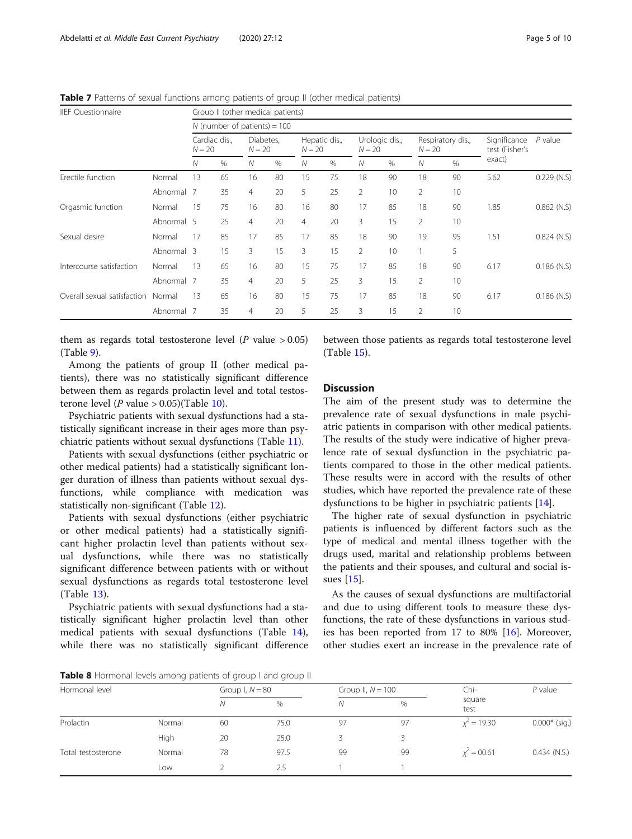| <b>IIEF Questionnaire</b>   |            | Group II (other medical patients) |                                |                       |    |                |                           |                |                            |    |                               |                                |               |
|-----------------------------|------------|-----------------------------------|--------------------------------|-----------------------|----|----------------|---------------------------|----------------|----------------------------|----|-------------------------------|--------------------------------|---------------|
|                             |            |                                   | N (number of patients) = $100$ |                       |    |                |                           |                |                            |    |                               |                                |               |
|                             |            | $N = 20$                          | Cardiac dis.,                  | Diabetes,<br>$N = 20$ |    |                | Hepatic dis.,<br>$N = 20$ |                | Urologic dis.,<br>$N = 20$ |    | Respiratory dis.,<br>$N = 20$ | Significance<br>test (Fisher's | $P$ value     |
|                             |            | N                                 | %                              | Ν                     | %  | Ν              | %                         | N              | %                          | N  | %                             | exact)                         |               |
| Erectile function           | Normal     | 13                                | 65                             | 16                    | 80 | 15             | 75                        | 18             | 90                         | 18 | 90                            | 5.62                           | $0.229$ (N.S) |
|                             | Abnormal   | - 7                               | 35                             | $\overline{4}$        | 20 | 5              | 25                        | $\overline{2}$ | 10                         | 2  | 10                            |                                |               |
| Orgasmic function           | Normal     | 15                                | 75                             | 16                    | 80 | 16             | 80                        | 17             | 85                         | 18 | 90                            | 1.85                           | $0.862$ (N.S) |
|                             | Abnormal 5 |                                   | 25                             | $\overline{4}$        | 20 | $\overline{4}$ | 20                        | 3              | 15                         | 2  | 10                            |                                |               |
| Sexual desire               | Normal     | 17                                | 85                             | 17                    | 85 | 17             | 85                        | 18             | 90                         | 19 | 95                            | 1.51                           | $0.824$ (N.S) |
|                             | Abnormal 3 |                                   | 15                             | 3                     | 15 | 3              | 15                        | 2              | 10                         |    | 5                             |                                |               |
| Intercourse satisfaction    | Normal     | 13                                | 65                             | 16                    | 80 | 15             | 75                        | 17             | 85                         | 18 | 90                            | 6.17                           | $0.186$ (N.S) |
|                             | Abnormal 7 |                                   | 35                             | $\overline{4}$        | 20 | 5              | 25                        | 3              | 15                         | 2  | 10                            |                                |               |
| Overall sexual satisfaction | Normal     | 13                                | 65                             | 16                    | 80 | 15             | 75                        | 17             | 85                         | 18 | 90                            | 6.17                           | $0.186$ (N.S) |
|                             | Abnormal   | - 7                               | 35                             | 4                     | 20 | 5              | 25                        | 3              | 15                         | 2  | 10                            |                                |               |

<span id="page-4-0"></span>Table 7 Patterns of sexual functions among patients of group II (other medical patients)

them as regards total testosterone level ( $P$  value  $> 0.05$ ) (Table [9\)](#page-5-0).

Among the patients of group II (other medical patients), there was no statistically significant difference between them as regards prolactin level and total testosterone level (*P* value > 0.05)(Table [10](#page-5-0)).

Psychiatric patients with sexual dysfunctions had a statistically significant increase in their ages more than psychiatric patients without sexual dysfunctions (Table [11](#page-6-0)).

Patients with sexual dysfunctions (either psychiatric or other medical patients) had a statistically significant longer duration of illness than patients without sexual dysfunctions, while compliance with medication was statistically non-significant (Table [12\)](#page-6-0).

Patients with sexual dysfunctions (either psychiatric or other medical patients) had a statistically significant higher prolactin level than patients without sexual dysfunctions, while there was no statistically significant difference between patients with or without sexual dysfunctions as regards total testosterone level (Table [13](#page-7-0)).

Psychiatric patients with sexual dysfunctions had a statistically significant higher prolactin level than other medical patients with sexual dysfunctions (Table [14](#page-7-0)), while there was no statistically significant difference between those patients as regards total testosterone level (Table [15\)](#page-7-0).

## **Discussion**

The aim of the present study was to determine the prevalence rate of sexual dysfunctions in male psychiatric patients in comparison with other medical patients. The results of the study were indicative of higher prevalence rate of sexual dysfunction in the psychiatric patients compared to those in the other medical patients. These results were in accord with the results of other studies, which have reported the prevalence rate of these dysfunctions to be higher in psychiatric patients [[14](#page-8-0)].

The higher rate of sexual dysfunction in psychiatric patients is influenced by different factors such as the type of medical and mental illness together with the drugs used, marital and relationship problems between the patients and their spouses, and cultural and social issues [\[15\]](#page-8-0).

As the causes of sexual dysfunctions are multifactorial and due to using different tools to measure these dysfunctions, the rate of these dysfunctions in various studies has been reported from 17 to 80%  $[16]$  $[16]$ . Moreover, other studies exert an increase in the prevalence rate of

Table 8 Hormonal levels among patients of group I and group II

| Hormonal level     |        | Group I, $N = 80$ |      | Group II, $N = 100$ |      | Chi-           | $P$ value       |  |
|--------------------|--------|-------------------|------|---------------------|------|----------------|-----------------|--|
|                    |        | N                 | %    | Ν                   | $\%$ | square<br>test |                 |  |
| Prolactin          | Normal | 60                | 75.0 | 97                  | 97   | $x^2 = 19.30$  | $0.000*$ (sig.) |  |
|                    | High   | 20                | 25.0 |                     |      |                |                 |  |
| Total testosterone | Normal | 78                | 97.5 | 99                  | 99   | $x^2 = 00.61$  | $0.434$ (N.S.)  |  |
|                    | Low    |                   | 2.5  |                     |      |                |                 |  |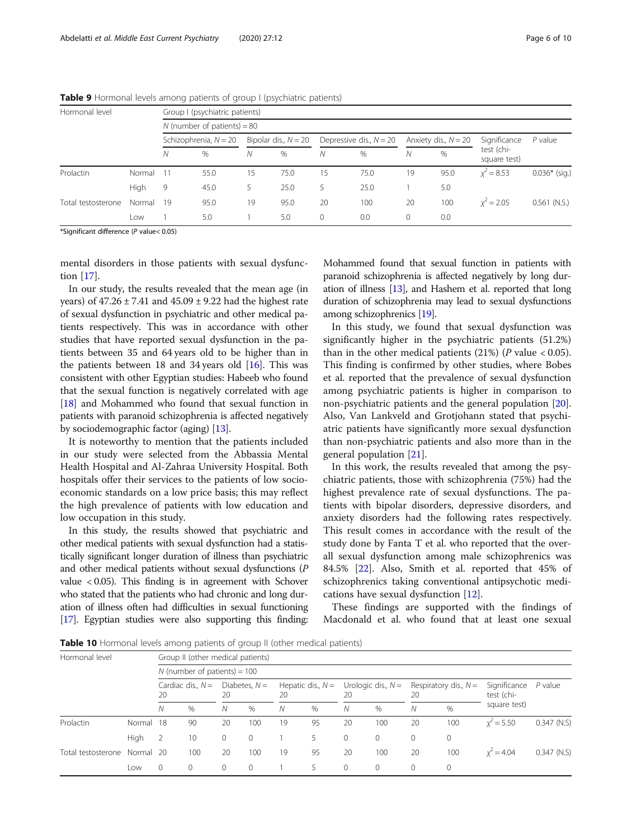| Hormonal level     |             |                         | Group I (psychiatric patients) |                        |      |                           |      |                        |      |                            |                 |
|--------------------|-------------|-------------------------|--------------------------------|------------------------|------|---------------------------|------|------------------------|------|----------------------------|-----------------|
|                    |             |                         | N (number of patients) = $80$  |                        |      |                           |      |                        |      |                            |                 |
|                    |             | Schizophrenia, $N = 20$ |                                | Bipolar dis., $N = 20$ |      | Depressive dis., $N = 20$ |      | Anxiety dis., $N = 20$ |      | Significance               | $P$ value       |
|                    |             | N                       | $\%$                           | Ν                      | $\%$ | Ν                         | %    | Ν                      | $\%$ | test (chi-<br>square test) |                 |
| Prolactin          | Normal      | -11                     | 55.0                           | 15                     | 75.0 | 15                        | 75.0 | 19                     | 95.0 | $x^2 = 8.53$               | $0.036*$ (sig.) |
|                    | <b>High</b> | 9                       | 45.0                           | 5                      | 25.0 | 5                         | 25.0 |                        | 5.0  |                            |                 |
| Total testosterone | Normal      | 19                      | 95.0                           | 19                     | 95.0 | 20                        | 100  | 20                     | 100  | $x^2 = 2.05$               | $0.561$ (N.S.)  |
|                    | Low         |                         | 5.0                            |                        | 5.0  | $\circ$                   | 0.0  | $\Omega$               | 0.0  |                            |                 |

<span id="page-5-0"></span>**Table 9** Hormonal levels among patients of group I (psychiatric patients)

mental disorders in those patients with sexual dysfunction [\[17\]](#page-8-0).

In our study, the results revealed that the mean age (in years) of  $47.26 \pm 7.41$  and  $45.09 \pm 9.22$  had the highest rate of sexual dysfunction in psychiatric and other medical patients respectively. This was in accordance with other studies that have reported sexual dysfunction in the patients between 35 and 64 years old to be higher than in the patients between 18 and 34 years old  $[16]$  $[16]$  $[16]$ . This was consistent with other Egyptian studies: Habeeb who found that the sexual function is negatively correlated with age [[18](#page-8-0)] and Mohammed who found that sexual function in patients with paranoid schizophrenia is affected negatively by sociodemographic factor (aging) [\[13\]](#page-8-0).

It is noteworthy to mention that the patients included in our study were selected from the Abbassia Mental Health Hospital and Al-Zahraa University Hospital. Both hospitals offer their services to the patients of low socioeconomic standards on a low price basis; this may reflect the high prevalence of patients with low education and low occupation in this study.

In this study, the results showed that psychiatric and other medical patients with sexual dysfunction had a statistically significant longer duration of illness than psychiatric and other medical patients without sexual dysfunctions (P value < 0.05). This finding is in agreement with Schover who stated that the patients who had chronic and long duration of illness often had difficulties in sexual functioning [[17](#page-8-0)]. Egyptian studies were also supporting this finding: Mohammed found that sexual function in patients with paranoid schizophrenia is affected negatively by long duration of illness [\[13](#page-8-0)], and Hashem et al. reported that long duration of schizophrenia may lead to sexual dysfunctions among schizophrenics [\[19\]](#page-8-0).

In this study, we found that sexual dysfunction was significantly higher in the psychiatric patients (51.2%) than in the other medical patients  $(21%)$  (*P* value < 0.05). This finding is confirmed by other studies, where Bobes et al. reported that the prevalence of sexual dysfunction among psychiatric patients is higher in comparison to non-psychiatric patients and the general population [\[20](#page-8-0)]. Also, Van Lankveld and Grotjohann stated that psychiatric patients have significantly more sexual dysfunction than non-psychiatric patients and also more than in the general population [\[21](#page-8-0)].

In this work, the results revealed that among the psychiatric patients, those with schizophrenia (75%) had the highest prevalence rate of sexual dysfunctions. The patients with bipolar disorders, depressive disorders, and anxiety disorders had the following rates respectively. This result comes in accordance with the result of the study done by Fanta T et al. who reported that the overall sexual dysfunction among male schizophrenics was 84.5% [[22\]](#page-8-0). Also, Smith et al. reported that 45% of schizophrenics taking conventional antipsychotic medications have sexual dysfunction [[12\]](#page-8-0).

These findings are supported with the findings of Macdonald et al. who found that at least one sexual

**Table 10** Hormonal levels among patients of group II (other medical patients)

| Hormonal level     |           |                           | Group II (other medical patients) |                       |          |                           |      |                            |              |    |                         |                            |               |  |  |  |
|--------------------|-----------|---------------------------|-----------------------------------|-----------------------|----------|---------------------------|------|----------------------------|--------------|----|-------------------------|----------------------------|---------------|--|--|--|
|                    |           |                           | N (number of patients) = $100$    |                       |          |                           |      |                            |              |    |                         |                            |               |  |  |  |
|                    |           | Cardiac dis., $N =$<br>20 |                                   | Diabetes, $N =$<br>20 |          | Hepatic dis., $N =$<br>20 |      | Urologic dis., $N =$<br>20 |              | 20 | Respiratory dis., $N =$ | Significance<br>test (chi- | P value       |  |  |  |
|                    |           | Ν                         | %                                 | Ν                     | %        | N                         | $\%$ | N                          | %            | N  | $\%$                    | square test)               |               |  |  |  |
| Prolactin          | Normal 18 |                           | 90                                | 20                    | 100      | 19                        | 95   | 20                         | 100          | 20 | 100                     | $x^2 = 5.50$               | $0.347$ (N.S) |  |  |  |
|                    | High      | $\overline{2}$            | 10                                | 0                     | $\Omega$ |                           |      | 0                          | $\mathbf{0}$ | 0  | 0                       |                            |               |  |  |  |
| Total testosterone | Normal 20 |                           | 100                               | 20                    | 100      | 19                        | 95   | 20                         | 100          | 20 | 100                     | $x^2 = 4.04$               | $0.347$ (N.S) |  |  |  |
|                    | Low       | $\circ$                   | $\mathbf{0}$                      | 0                     | $\Omega$ |                           |      | $\circ$                    | $\mathbf 0$  | 0  | 0                       |                            |               |  |  |  |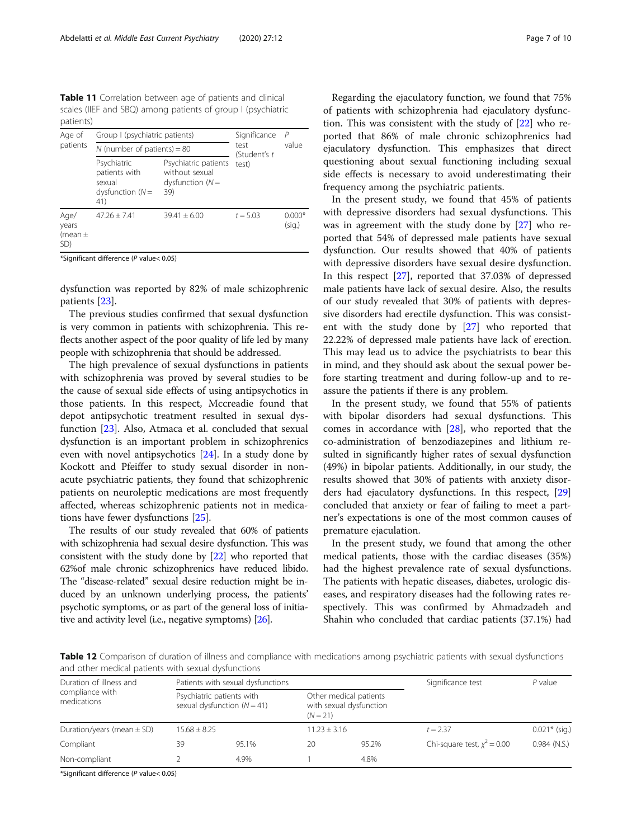<span id="page-6-0"></span>Table 11 Correlation between age of patients and clinical scales (IIEF and SBQ) among patients of group I (psychiatric patients)

| Group I (psychiatric patients)<br>Age of<br>patients<br>N (number of patients) = $80$<br>Psychiatric<br>patients with<br>sexual<br>dysfunction $(N=$<br>41) |                                                                     |                | Significance         | P                  |  |
|-------------------------------------------------------------------------------------------------------------------------------------------------------------|---------------------------------------------------------------------|----------------|----------------------|--------------------|--|
|                                                                                                                                                             |                                                                     |                | test<br>(Student's t | value              |  |
|                                                                                                                                                             | Psychiatric patients<br>without sexual<br>dysfunction $(N =$<br>39) | test)          |                      |                    |  |
| Age/<br>years<br>(mean $\pm$<br>SD)                                                                                                                         | $47.26 \pm 7.41$                                                    | $39.41 + 6.00$ | $t = 5.03$           | $0.000*$<br>(sig.) |  |

dysfunction was reported by 82% of male schizophrenic patients [[23\]](#page-8-0).

The previous studies confirmed that sexual dysfunction is very common in patients with schizophrenia. This reflects another aspect of the poor quality of life led by many people with schizophrenia that should be addressed.

The high prevalence of sexual dysfunctions in patients with schizophrenia was proved by several studies to be the cause of sexual side effects of using antipsychotics in those patients. In this respect, Mccreadie found that depot antipsychotic treatment resulted in sexual dysfunction [[23\]](#page-8-0). Also, Atmaca et al. concluded that sexual dysfunction is an important problem in schizophrenics even with novel antipsychotics [[24](#page-8-0)]. In a study done by Kockott and Pfeiffer to study sexual disorder in nonacute psychiatric patients, they found that schizophrenic patients on neuroleptic medications are most frequently affected, whereas schizophrenic patients not in medications have fewer dysfunctions [[25\]](#page-8-0).

The results of our study revealed that 60% of patients with schizophrenia had sexual desire dysfunction. This was consistent with the study done by [\[22](#page-8-0)] who reported that 62%of male chronic schizophrenics have reduced libido. The "disease-related" sexual desire reduction might be induced by an unknown underlying process, the patients' psychotic symptoms, or as part of the general loss of initiative and activity level (i.e., negative symptoms) [\[26\]](#page-8-0).

Regarding the ejaculatory function, we found that 75% of patients with schizophrenia had ejaculatory dysfunction. This was consistent with the study of [[22](#page-8-0)] who reported that 86% of male chronic schizophrenics had ejaculatory dysfunction. This emphasizes that direct questioning about sexual functioning including sexual side effects is necessary to avoid underestimating their frequency among the psychiatric patients.

In the present study, we found that 45% of patients with depressive disorders had sexual dysfunctions. This was in agreement with the study done by [[27](#page-8-0)] who reported that 54% of depressed male patients have sexual dysfunction. Our results showed that 40% of patients with depressive disorders have sexual desire dysfunction. In this respect [[27\]](#page-8-0), reported that 37.03% of depressed male patients have lack of sexual desire. Also, the results of our study revealed that 30% of patients with depressive disorders had erectile dysfunction. This was consistent with the study done by [\[27](#page-8-0)] who reported that 22.22% of depressed male patients have lack of erection. This may lead us to advice the psychiatrists to bear this in mind, and they should ask about the sexual power before starting treatment and during follow-up and to reassure the patients if there is any problem.

In the present study, we found that 55% of patients with bipolar disorders had sexual dysfunctions. This comes in accordance with [[28\]](#page-9-0), who reported that the co-administration of benzodiazepines and lithium resulted in significantly higher rates of sexual dysfunction (49%) in bipolar patients. Additionally, in our study, the results showed that 30% of patients with anxiety disorders had ejaculatory dysfunctions. In this respect, [[29](#page-9-0)] concluded that anxiety or fear of failing to meet a partner's expectations is one of the most common causes of premature ejaculation.

In the present study, we found that among the other medical patients, those with the cardiac diseases (35%) had the highest prevalence rate of sexual dysfunctions. The patients with hepatic diseases, diabetes, urologic diseases, and respiratory diseases had the following rates respectively. This was confirmed by Ahmadzadeh and Shahin who concluded that cardiac patients (37.1%) had

Table 12 Comparison of duration of illness and compliance with medications among psychiatric patients with sexual dysfunctions and other medical patients with sexual dysfunctions

|             |  |                                                                              |                                   | Significance test                                                     | $P$ value       |  |
|-------------|--|------------------------------------------------------------------------------|-----------------------------------|-----------------------------------------------------------------------|-----------------|--|
|             |  | $(N = 21)$                                                                   |                                   |                                                                       |                 |  |
|             |  |                                                                              |                                   | $t = 2.37$                                                            | $0.021*$ (sig.) |  |
| 95.1%<br>39 |  | 20                                                                           | 95.2%                             | Chi-square test, $x^2 = 0.00$                                         | $0.984$ (N.S.)  |  |
| 4.9%        |  |                                                                              | 4.8%                              |                                                                       |                 |  |
|             |  | Psychiatric patients with<br>sexual dysfunction $(N = 41)$<br>$15.68 + 8.25$ | Patients with sexual dysfunctions | Other medical patients<br>with sexual dysfunction<br>$11.23 \pm 3.16$ |                 |  |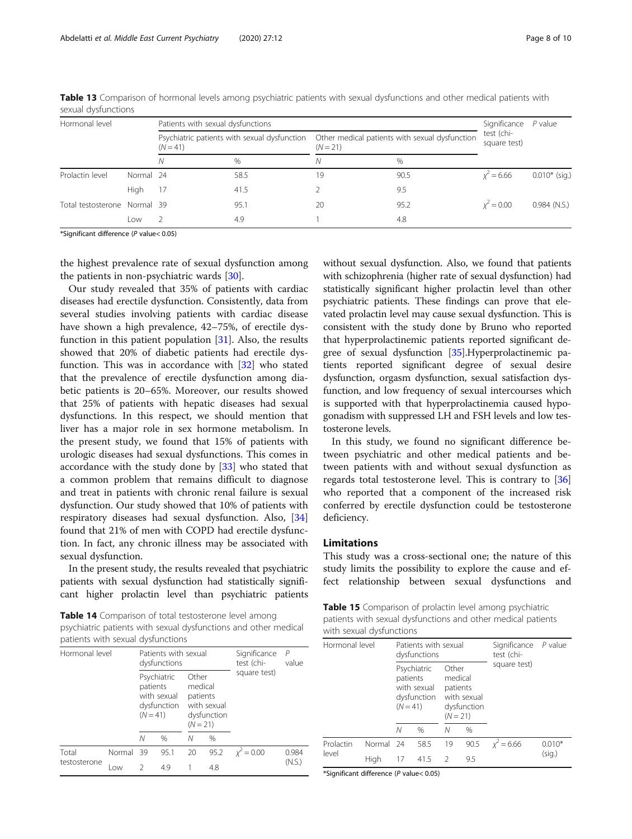| Hormonal level               |           | Patients with sexual dysfunctions                          |      |                                                              |      |                            | $P$ value       |
|------------------------------|-----------|------------------------------------------------------------|------|--------------------------------------------------------------|------|----------------------------|-----------------|
|                              |           | Psychiatric patients with sexual dysfunction<br>$(N = 41)$ |      | Other medical patients with sexual dysfunction<br>$(N = 21)$ |      | test (chi-<br>square test) |                 |
|                              |           | N                                                          | $\%$ | Ν                                                            | $\%$ |                            |                 |
| Prolactin level              | Normal 24 |                                                            | 58.5 | 19                                                           | 90.5 | $x^2 = 6.66$               | $0.010*$ (sig.) |
|                              | High      | 17                                                         | 41.5 |                                                              | 9.5  |                            |                 |
| Total testosterone Normal 39 |           |                                                            | 95.1 | 20                                                           | 95.2 | $x^2 = 0.00$               | $0.984$ (N.S.)  |
|                              | Low       |                                                            | 4.9  |                                                              | 4.8  |                            |                 |

<span id="page-7-0"></span>Table 13 Comparison of hormonal levels among psychiatric patients with sexual dysfunctions and other medical patients with sexual dysfunctions

the highest prevalence rate of sexual dysfunction among the patients in non-psychiatric wards [[30\]](#page-9-0).

Our study revealed that 35% of patients with cardiac diseases had erectile dysfunction. Consistently, data from several studies involving patients with cardiac disease have shown a high prevalence, 42–75%, of erectile dysfunction in this patient population  $[31]$  $[31]$  $[31]$ . Also, the results showed that 20% of diabetic patients had erectile dysfunction. This was in accordance with [\[32](#page-9-0)] who stated that the prevalence of erectile dysfunction among diabetic patients is 20–65%. Moreover, our results showed that 25% of patients with hepatic diseases had sexual dysfunctions. In this respect, we should mention that liver has a major role in sex hormone metabolism. In the present study, we found that 15% of patients with urologic diseases had sexual dysfunctions. This comes in accordance with the study done by [\[33](#page-9-0)] who stated that a common problem that remains difficult to diagnose and treat in patients with chronic renal failure is sexual dysfunction. Our study showed that 10% of patients with respiratory diseases had sexual dysfunction. Also, [[34](#page-9-0)] found that 21% of men with COPD had erectile dysfunction. In fact, any chronic illness may be associated with sexual dysfunction.

In the present study, the results revealed that psychiatric patients with sexual dysfunction had statistically significant higher prolactin level than psychiatric patients

Table 14 Comparison of total testosterone level among psychiatric patients with sexual dysfunctions and other medical patients with sexual dysfunctions

| Hormonal level        |           | Patients with sexual                                                                |      |                                                                          |      | Significance               | P<br>value |
|-----------------------|-----------|-------------------------------------------------------------------------------------|------|--------------------------------------------------------------------------|------|----------------------------|------------|
|                       |           | dysfunctions<br>Psychiatric<br>patients<br>with sexual<br>dysfunction<br>$(N = 41)$ |      | Other<br>medical<br>patients<br>with sexual<br>dysfunction<br>$(N = 21)$ |      | test (chi-<br>square test) |            |
|                       |           | Ν                                                                                   | $\%$ | Ν                                                                        | %    |                            |            |
| Total<br>testosterone | Normal 39 |                                                                                     | 95.1 | 20                                                                       | 95.2 | $x^2 = 0.00$               | 0.984      |
|                       | l ow      | $\mathcal{L}$                                                                       | 4.9  |                                                                          | 4.8  |                            | (N.S.)     |

without sexual dysfunction. Also, we found that patients with schizophrenia (higher rate of sexual dysfunction) had statistically significant higher prolactin level than other psychiatric patients. These findings can prove that elevated prolactin level may cause sexual dysfunction. This is consistent with the study done by Bruno who reported that hyperprolactinemic patients reported significant degree of sexual dysfunction [[35](#page-9-0)].Hyperprolactinemic patients reported significant degree of sexual desire dysfunction, orgasm dysfunction, sexual satisfaction dysfunction, and low frequency of sexual intercourses which is supported with that hyperprolactinemia caused hypogonadism with suppressed LH and FSH levels and low testosterone levels.

In this study, we found no significant difference between psychiatric and other medical patients and between patients with and without sexual dysfunction as regards total testosterone level. This is contrary to [[36](#page-9-0)] who reported that a component of the increased risk conferred by erectile dysfunction could be testosterone deficiency.

## Limitations

This study was a cross-sectional one; the nature of this study limits the possibility to explore the cause and effect relationship between sexual dysfunctions and

Table 15 Comparison of prolactin level among psychiatric patients with sexual dysfunctions and other medical patients with sexual dysfunctions

| Hormonal level     |           | Patients with sexual<br>dysfunctions                                |      |                                                                          |      | Significance P value<br>test (chi-<br>square test) |                    |
|--------------------|-----------|---------------------------------------------------------------------|------|--------------------------------------------------------------------------|------|----------------------------------------------------|--------------------|
|                    |           | Psychiatric<br>patients<br>with sexual<br>dysfunction<br>$(N = 41)$ |      | Other<br>medical<br>patients<br>with sexual<br>dysfunction<br>$(N = 21)$ |      |                                                    |                    |
|                    |           | N                                                                   | $\%$ | Ν                                                                        | $\%$ |                                                    |                    |
| Prolactin<br>level | Normal 24 |                                                                     | 58.5 | 19                                                                       | 90.5 | $x^2$ = 6.66                                       | $0.010*$<br>(sig.) |
|                    | High      | 17                                                                  | 41.5 | $\mathcal{L}$                                                            | 9.5  |                                                    |                    |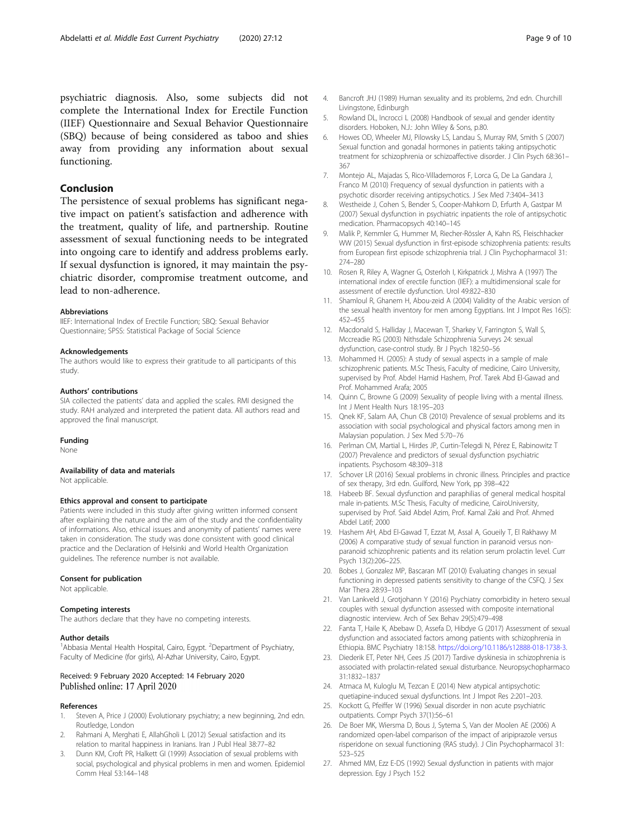<span id="page-8-0"></span>psychiatric diagnosis. Also, some subjects did not complete the International Index for Erectile Function (IIEF) Questionnaire and Sexual Behavior Questionnaire (SBQ) because of being considered as taboo and shies away from providing any information about sexual functioning.

## Conclusion

The persistence of sexual problems has significant negative impact on patient's satisfaction and adherence with the treatment, quality of life, and partnership. Routine assessment of sexual functioning needs to be integrated into ongoing care to identify and address problems early. If sexual dysfunction is ignored, it may maintain the psychiatric disorder, compromise treatment outcome, and lead to non-adherence.

#### Abbreviations

IIEF: International Index of Erectile Function; SBQ: Sexual Behavior Questionnaire; SPSS: Statistical Package of Social Science

#### Acknowledgements

The authors would like to express their gratitude to all participants of this study.

#### Authors' contributions

SIA collected the patients' data and applied the scales. RMI designed the study. RAH analyzed and interpreted the patient data. All authors read and approved the final manuscript.

#### Funding

None

## Availability of data and materials

Not applicable.

#### Ethics approval and consent to participate

Patients were included in this study after giving written informed consent after explaining the nature and the aim of the study and the confidentiality of informations. Also, ethical issues and anonymity of patients' names were taken in consideration. The study was done consistent with good clinical practice and the Declaration of Helsinki and World Health Organization guidelines. The reference number is not available.

#### Consent for publication

Not applicable.

#### Competing interests

The authors declare that they have no competing interests.

#### Author details

<sup>1</sup> Abbasia Mental Health Hospital, Cairo, Egypt. <sup>2</sup> Department of Psychiatry, Faculty of Medicine (for girls), Al-Azhar University, Cairo, Egypt.

#### Received: 9 February 2020 Accepted: 14 February 2020 Published online: 17 April 2020

#### References

- 1. Steven A, Price J (2000) Evolutionary psychiatry; a new beginning, 2nd edn. Routledge, London
- 2. Rahmani A, Merghati E, AllahGholi L (2012) Sexual satisfaction and its relation to marital happiness in Iranians. Iran J Publ Heal 38:77–82
- 3. Dunn KM, Croft PR, Halkett GI (1999) Association of sexual problems with social, psychological and physical problems in men and women. Epidemiol Comm Heal 53:144–148
- 4. Bancroft JHJ (1989) Human sexuality and its problems, 2nd edn. Churchill Livingstone, Edinburgh
- 5. Rowland DL, Incrocci L (2008) Handbook of sexual and gender identity disorders. Hoboken, N.J.: John Wiley & Sons, p.80.
- 6. Howes OD, Wheeler MJ, Pilowsky LS, Landau S, Murray RM, Smith S (2007) Sexual function and gonadal hormones in patients taking antipsychotic treatment for schizophrenia or schizoaffective disorder. J Clin Psych 68:361-367
- 7. Montejo AL, Majadas S, Rico-Villademoros F, Lorca G, De La Gandara J, Franco M (2010) Frequency of sexual dysfunction in patients with a psychotic disorder receiving antipsychotics. J Sex Med 7:3404–3413
- 8. Westheide J, Cohen S, Bender S, Cooper-Mahkorn D, Erfurth A, Gastpar M (2007) Sexual dysfunction in psychiatric inpatients the role of antipsychotic medication. Pharmacopsych 40:140–145
- 9. Malik P, Kemmler G, Hummer M, Riecher-Rössler A, Kahn RS, Fleischhacker WW (2015) Sexual dysfunction in first-episode schizophrenia patients: results from European first episode schizophrenia trial. J Clin Psychopharmacol 31: 274–280
- 10. Rosen R, Riley A, Wagner G, Osterloh I, Kirkpatrick J, Mishra A (1997) The international index of erectile function (IIEF): a multidimensional scale for assessment of erectile dysfunction. Urol 49:822–830
- 11. Shamloul R, Ghanem H, Abou-zeid A (2004) Validity of the Arabic version of the sexual health inventory for men among Egyptians. Int J Impot Res 16(5): 452–455
- 12. Macdonald S, Halliday J, Macewan T, Sharkey V, Farrington S, Wall S, Mccreadie RG (2003) Nithsdale Schizophrenia Surveys 24: sexual dysfunction, case-control study. Br J Psych 182:50–56
- 13. Mohammed H. (2005): A study of sexual aspects in a sample of male schizophrenic patients. M.Sc Thesis, Faculty of medicine, Cairo University, supervised by Prof. Abdel Hamid Hashem, Prof. Tarek Abd El-Gawad and Prof. Mohammed Arafa; 2005
- 14. Quinn C, Browne G (2009) Sexuality of people living with a mental illness. Int J Ment Health Nurs 18:195–203
- 15. Qnek KF, Salam AA, Chun CB (2010) Prevalence of sexual problems and its association with social psychological and physical factors among men in Malaysian population. J Sex Med 5:70–76
- 16. Perlman CM, Martial L, Hirdes JP, Curtin-Telegdi N, Pérez E, Rabinowitz T (2007) Prevalence and predictors of sexual dysfunction psychiatric inpatients. Psychosom 48:309–318
- 17. Schover LR (2016) Sexual problems in chronic illness. Principles and practice of sex therapy, 3rd edn. Guilford, New York, pp 398–422
- 18. Habeeb BF. Sexual dysfunction and paraphilias of general medical hospital male in-patients. M.Sc Thesis, Faculty of medicine, CairoUniversity, supervised by Prof. Said Abdel Azim, Prof. Kamal Zaki and Prof. Ahmed Abdel Latif; 2000
- 19. Hashem AH, Abd El-Gawad T, Ezzat M, Assal A, Goueily T, El Rakhawy M (2006) A comparative study of sexual function in paranoid versus nonparanoid schizophrenic patients and its relation serum prolactin level. Curr Psych 13(2):206–225.
- 20. Bobes J, Gonzalez MP, Bascaran MT (2010) Evaluating changes in sexual functioning in depressed patients sensitivity to change of the CSFQ. J Sex Mar Thera 28:93–103
- 21. Van Lankveld J, Grotjohann Y (2016) Psychiatry comorbidity in hetero sexual couples with sexual dysfunction assessed with composite international diagnostic interview. Arch of Sex Behav 29(5):479–498
- 22. Fanta T, Haile K, Abebaw D, Assefa D, Hibdye G (2017) Assessment of sexual dysfunction and associated factors among patients with schizophrenia in Ethiopia. BMC Psychiatry 18:158. [https://doi.org/10.1186/s12888-018-1738-3.](https://doi.org/10.1186/s12888-018-1738-3)
- 23. Diederik ET, Peter NH, Cees JS (2017) Tardive dyskinesia in schizophrenia is associated with prolactin-related sexual disturbance. Neuropsychopharmaco 31:1832–1837
- 24. Atmaca M, Kuloglu M, Tezcan E (2014) New atypical antipsychotic: quetiapine-induced sexual dysfunctions. Int J Impot Res 2:201–203.
- 25. Kockott G, Pfeiffer W (1996) Sexual disorder in non acute psychiatric outpatients. Compr Psych 37(1):56–61
- 26. De Boer MK, Wiersma D, Bous J, Sytema S, Van der Moolen AE (2006) A randomized open-label comparison of the impact of aripiprazole versus risperidone on sexual functioning (RAS study). J Clin Psychopharmacol 31: 523–525
- 27. Ahmed MM, Ezz E-DS (1992) Sexual dysfunction in patients with major depression. Egy J Psych 15:2